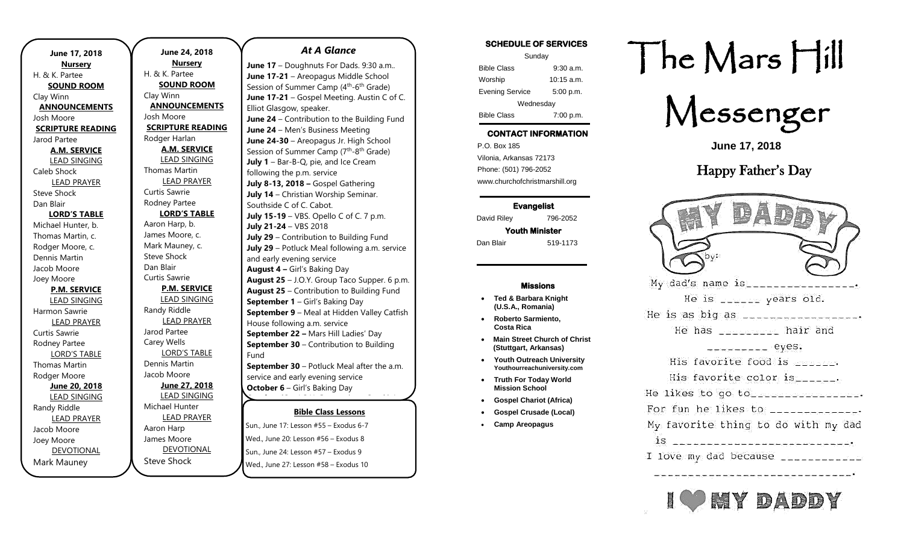| June 17, 2018            |
|--------------------------|
| <b>Nursery</b>           |
| H. & K. Partee           |
| <b>SOUND ROOM</b>        |
| Clay Winn                |
| <b>ANNOUNCEMENTS</b>     |
| Josh Moore               |
| <b>SCRIPTURE READING</b> |
| Jarod Partee             |
| <b>A.M. SERVICE</b>      |
| <b>LEAD SINGING</b>      |
| Caleb Shock              |
| <b>LEAD PRAYER</b>       |
| <b>Steve Shock</b>       |
| Dan Blair                |
| <b>LORD'S TABLE</b>      |
| Michael Hunter, b.       |
| Thomas Martin, c.        |
| Rodger Moore, c.         |
| Dennis Martin            |
| Jacob Moore              |
| Joey Moore               |
| <b>P.M. SERVICE</b>      |
| <b>LEAD SINGING</b>      |
| Harmon Sawrie            |
| <b>LEAD PRAYER</b>       |
| Curtis Sawrie            |
| Rodney Partee            |
| <b>LORD'S TABLE</b>      |
| Thomas Martin            |
| Rodger Moore             |
| June 20, 2018            |
| <b>LEAD SINGING</b>      |
| <b>Randy Riddle</b>      |
| <b>LEAD PRAYER</b>       |
| Jacob Moore              |
| Joey Moore               |
| <b>DEVOTIONAL</b>        |
| Mark Mauney              |

**June 24, 2018 Nursery** H. & K. Partee **SOUND ROOM** Clay Winn **ANNOUNCEMENTS** Josh Moore **SCRIPTURE READING** Rodger Harlan **A.M. SERVICE** LEAD SINGING Thomas Martin LEAD PRAYER Curtis Sawrie Rodney Partee **LORD'S TABLE** Aaron Harp, b. James Moore, c. Mark Mauney, c. Steve Shock Dan Blair Curtis Sawrie **P.M. SERVICE** LEAD SINGING Randy Riddle LEAD PRAYER Jarod Partee Carey Wells LORD'S TABLE Dennis Martin Jacob Moore **June 27, 2018** LEAD SINGING Michael Hunter LEAD PRAYER Aaron Harp James Moore DEVOTIONAL

**October 13** – J.O.Y. Group trip to Smokin'

Steve Shock

*At A Glance* 

June 17 - Doughnuts For Dads. 9:30 a.m.. **June 17-21** – Areopagus Middle School Session of Summer Camp (4<sup>th</sup>-6<sup>th</sup> Grade) **June 17-21** – Gospel Meeting. Austin C of C. Elliot Glasgow, speaker. **June 24** – Contribution to the Building Fund **June 24** – Men's Business Meeting **June 24-30** – Areopagus Jr. High School Session of Summer Camp (7<sup>th</sup>-8<sup>th</sup> Grade) **July 1** – Bar-B-Q, pie, and Ice Cream following the p.m. service **July 8-13, 2018 –** Gospel Gathering **July 14** – Christian Worship Seminar. Southside C of C. Cabot. **July 15-19** – VBS. Opello C of C. 7 p.m. **July 21-24** – VBS 2018 **July 29** – Contribution to Building Fund **July 29** – Potluck Meal following a.m. service and early evening service **August 4 –** Girl's Baking Day **August 25** – J.O.Y. Group Taco Supper. 6 p.m. **August 25** – Contribution to Building Fund **September 1** – Girl's Baking Day **September 9** – Meal at Hidden Valley Catfish House following a.m. service **September 22 –** Mars Hill Ladies' Day **September 30 – Contribution to Building** Fund **September 30** – Potluck Meal after the a.m.

service and early evening service **October 6** – Girl's Baking Day

### **Bible Class Lessons**

<u>sun., June 17: Lesson #55 – Exodus 6-7</u> Wed., June 20: Lesson #56 – Exodus 8 Sun., June 24: Lesson #57 – Exodus 9 Wed., June 27: Lesson #58 - Exodus 10 **Dant, Jane 17: Ecsson <sup>N</sup>SS** – Exodas o

**November 22** – Thanksgiving Potluck after

### **SCHEDULE OF SERVICES**

| Sunday                 |              |  |
|------------------------|--------------|--|
| <b>Bible Class</b>     | $9:30$ a.m.  |  |
| Worship                | $10:15$ a.m. |  |
| <b>Evening Service</b> | 5:00 p.m.    |  |
| Wednesday              |              |  |
| <b>Bible Class</b>     | 7:00 p.m.    |  |

### **CONTACT INFORMATION**

. .o. Box 166<br>Vilonia, Arkansas 72173 P.O. Box 185 Phone: (501) 796-2052 www.churchofchristmarshill.org

### **Evangelist**  David Riley 796-2052

**Youth Minister**  Dan Blair 519-1173

#### **Missions**

- **Ted & Barbara Knight (U.S.A., Romania)**
- **Roberto Sarmiento, Costa Rica**
- **Main Street Church of Christ (Stuttgart, Arkansas)**
- **Youth Outreach University Youthourreachuniversity.com**
- **Truth For Today World Mission School**
- **Gospel Chariot (Africa)**
- **Gospel Crusade (Local)**
- **Camp Areopagus**

# The Mars Hill



**June 17, 2018**

## Happy Father's Day